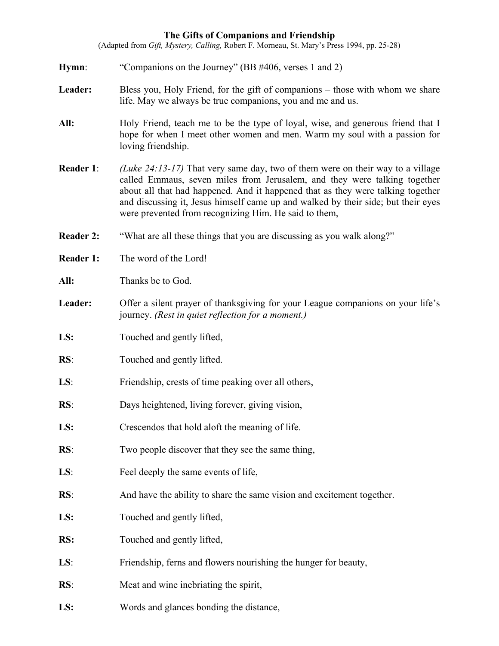## **The Gifts of Companions and Friendship**

(Adapted from *Gift, Mystery, Calling,* Robert F. Morneau, St. Mary's Press 1994, pp. 25-28)

- **Hymn:** "Companions on the Journey" (BB #406, verses 1 and 2)
- Leader: Bless you, Holy Friend, for the gift of companions those with whom we share life. May we always be true companions, you and me and us.
- **All:** Holy Friend, teach me to be the type of loyal, wise, and generous friend that I hope for when I meet other women and men. Warm my soul with a passion for loving friendship.
- **Reader 1**: *(Luke 24:13-17)* That very same day, two of them were on their way to a village called Emmaus, seven miles from Jerusalem, and they were talking together about all that had happened. And it happened that as they were talking together and discussing it, Jesus himself came up and walked by their side; but their eyes were prevented from recognizing Him. He said to them,
- **Reader 2:** "What are all these things that you are discussing as you walk along?"
- **Reader 1:** The word of the Lord!
- **All:** Thanks be to God.
- Leader: Offer a silent prayer of thanksgiving for your League companions on your life's journey. *(Rest in quiet reflection for a moment.)*
- LS: Touched and gently lifted,
- **RS**: Touched and gently lifted.
- **LS**: Friendship, crests of time peaking over all others,
- **RS**: Days heightened, living forever, giving vision,
- **LS:** Crescendos that hold aloft the meaning of life.
- **RS**: Two people discover that they see the same thing,
- **LS**: Feel deeply the same events of life,
- **RS**: And have the ability to share the same vision and excitement together.
- LS: Touched and gently lifted,
- **RS:** Touched and gently lifted,
- LS: Friendship, ferns and flowers nourishing the hunger for beauty,
- **RS**: Meat and wine inebriating the spirit,
- **LS:** Words and glances bonding the distance,